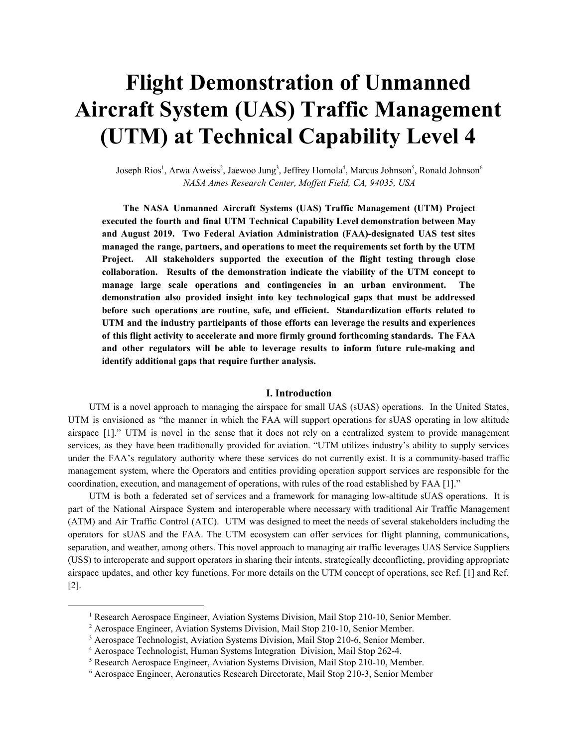# **Flight Demonstration of Unmanned Aircraft System (UAS) Traffic Management (UTM) at Technical Capability Level 4**

Joseph Rios<sup>1</sup>, Arwa Aweiss<sup>2</sup>, Jaewoo Jung<sup>3</sup>, Jeffrey Homola<sup>4</sup>, Marcus Johnson<sup>5</sup>, Ronald Johnson<sup>6</sup> *NASA Ames Research Center, Mof ett Field, CA, 94035, USA*

**The NASA Unmanned Aircraft Systems (UAS) Traffic Management (UTM) Project executed the fourth and final UTM Technical Capability Level demonstration between May and August 2019. Two Federal Aviation Administration (FAA)-designated UAS test sites managed the range, partners, and operations to meet the requirements set forth by the UTM Project. All stakeholders supported the execution of the flight testing through close collaboration. Results of the demonstration indicate the viability of the UTM concept to manage large scale operations and contingencies in an urban environment. The demonstration also provided insight into key technological gaps that must be addressed before such operations are routine, safe, and efficient. Standardization efforts related to UTM and the industry participants of those efforts can leverage the results and experiences of this flight activity to accelerate and more firmly ground forthcoming standards. The FAA and other regulators will be able to leverage results to inform future rule-making and identify additional gaps that require further analysis.**

#### **I. Introduction**

UTM is a novel approach to managing the airspace for small UAS (sUAS) operations. In the United States, UTM is envisioned as "the manner in which the FAA will support operations for sUAS operating in low altitude airspace [1]." UTM is novel in the sense that it does not rely on a centralized system to provide management services, as they have been traditionally provided for aviation. "UTM utilizes industry's ability to supply services under the FAA's regulatory authority where these services do not currently exist. It is a community-based traffic management system, where the Operators and entities providing operation support services are responsible for the coordination, execution, and management of operations, with rules of the road established by FAA [1]."

UTM is both a federated set of services and a framework for managing low-altitude sUAS operations. It is part of the National Airspace System and interoperable where necessary with traditional Air Traffic Management (ATM) and Air Traffic Control (ATC). UTM was designed to meet the needs of several stakeholders including the operators for sUAS and the FAA. The UTM ecosystem can offer services for flight planning, communications, separation, and weather, among others. This novel approach to managing air traffic leverages UAS Service Suppliers (USS) to interoperate and support operators in sharing their intents, strategically deconflicting, providing appropriate airspace updates, and other key functions. For more details on the UTM concept of operations, see Ref. [1] and Ref. [2].

<sup>1</sup> Research Aerospace Engineer, Aviation Systems Division, Mail Stop 210-10, Senior Member.

<sup>&</sup>lt;sup>2</sup> Aerospace Engineer, Aviation Systems Division, Mail Stop 210-10, Senior Member.

<sup>&</sup>lt;sup>3</sup> Aerospace Technologist, Aviation Systems Division, Mail Stop 210-6, Senior Member.

<sup>4</sup> Aerospace Technologist, Human Systems Integration Division, Mail Stop 262-4.

<sup>5</sup> Research Aerospace Engineer, Aviation Systems Division, Mail Stop 210-10, Member.

<sup>6</sup> Aerospace Engineer, Aeronautics Research Directorate, Mail Stop 210-3, Senior Member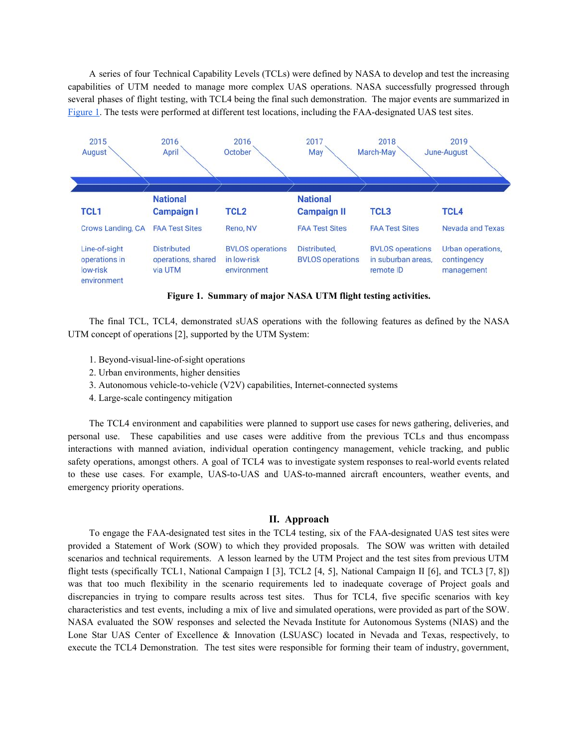A series of four Technical Capability Levels (TCLs) were defined by NASA to develop and test the increasing capabilities of UTM needed to manage more complex UAS operations. NASA successfully progressed through several phases of flight testing, with TCL4 being the final such demonstration. The major events are summarized in Figure 1. The tests were performed at different test locations, including the FAA-designated UAS test sites.



**Figure 1. Summary of major NASA UTM flight testing activities.**

The final TCL, TCL4, demonstrated sUAS operations with the following features as defined by the NASA UTM concept of operations [2], supported by the UTM System:

- 1. Beyond-visual-line-of-sight operations
- 2. Urban environments, higher densities
- 3. Autonomous vehicle-to-vehicle (V2V) capabilities, Internet-connected systems
- 4. Large-scale contingency mitigation

The TCL4 environment and capabilities were planned to support use cases for news gathering, deliveries, and personal use. These capabilities and use cases were additive from the previous TCLs and thus encompass interactions with manned aviation, individual operation contingency management, vehicle tracking, and public safety operations, amongst others. A goal of TCL4 was to investigate system responses to real-world events related to these use cases. For example, UAS-to-UAS and UAS-to-manned aircraft encounters, weather events, and emergency priority operations.

#### **II. Approach**

To engage the FAA-designated test sites in the TCL4 testing, six of the FAA-designated UAS test sites were provided a Statement of Work (SOW) to which they provided proposals. The SOW was written with detailed scenarios and technical requirements. A lesson learned by the UTM Project and the test sites from previous UTM flight tests (specifically TCL1, National Campaign I [3], TCL2 [4, 5], National Campaign II [6], and TCL3 [7, 8]) was that too much flexibility in the scenario requirements led to inadequate coverage of Project goals and discrepancies in trying to compare results across test sites. Thus for TCL4, five specific scenarios with key characteristics and test events, including a mix of live and simulated operations, were provided as part of the SOW. NASA evaluated the SOW responses and selected the Nevada Institute for Autonomous Systems (NIAS) and the Lone Star UAS Center of Excellence & Innovation (LSUASC) located in Nevada and Texas, respectively, to execute the TCL4 Demonstration. The test sites were responsible for forming their team of industry, government,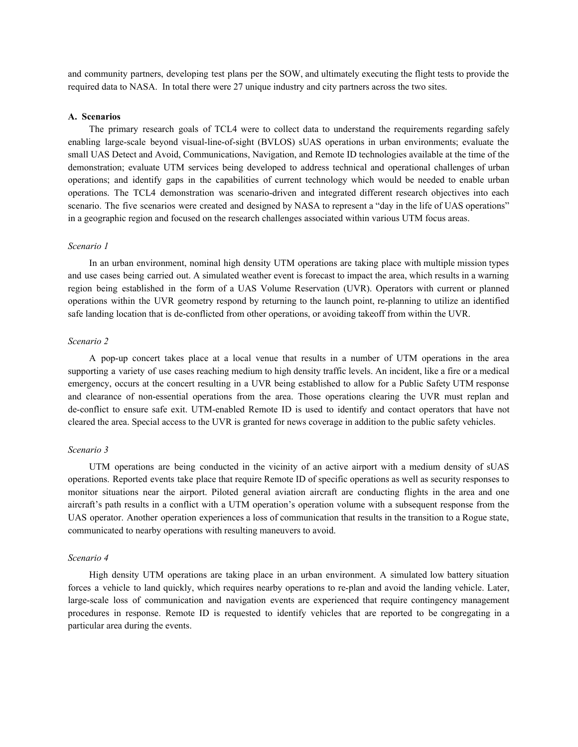and community partners, developing test plans per the SOW, and ultimately executing the flight tests to provide the required data to NASA. In total there were 27 unique industry and city partners across the two sites.

#### **A. Scenarios**

The primary research goals of TCL4 were to collect data to understand the requirements regarding safely enabling large-scale beyond visual-line-of-sight (BVLOS) sUAS operations in urban environments; evaluate the small UAS Detect and Avoid, Communications, Navigation, and Remote ID technologies available at the time of the demonstration; evaluate UTM services being developed to address technical and operational challenges of urban operations; and identify gaps in the capabilities of current technology which would be needed to enable urban operations. The TCL4 demonstration was scenario-driven and integrated different research objectives into each scenario. The five scenarios were created and designed by NASA to represent a "day in the life of UAS operations" in a geographic region and focused on the research challenges associated within various UTM focus areas.

#### *Scenario 1*

In an urban environment, nominal high density UTM operations are taking place with multiple mission types and use cases being carried out. A simulated weather event is forecast to impact the area, which results in a warning region being established in the form of a UAS Volume Reservation (UVR). Operators with current or planned operations within the UVR geometry respond by returning to the launch point, re-planning to utilize an identified safe landing location that is de-conflicted from other operations, or avoiding takeoff from within the UVR.

# *Scenario 2*

A pop-up concert takes place at a local venue that results in a number of UTM operations in the area supporting a variety of use cases reaching medium to high density traffic levels. An incident, like a fire or a medical emergency, occurs at the concert resulting in a UVR being established to allow for a Public Safety UTM response and clearance of non-essential operations from the area. Those operations clearing the UVR must replan and de-conflict to ensure safe exit. UTM-enabled Remote ID is used to identify and contact operators that have not cleared the area. Special access to the UVR is granted for news coverage in addition to the public safety vehicles.

#### *Scenario 3*

UTM operations are being conducted in the vicinity of an active airport with a medium density of sUAS operations. Reported events take place that require Remote ID of specific operations as well as security responses to monitor situations near the airport. Piloted general aviation aircraft are conducting flights in the area and one aircraft's path results in a conflict with a UTM operation's operation volume with a subsequent response from the UAS operator. Another operation experiences a loss of communication that results in the transition to a Rogue state, communicated to nearby operations with resulting maneuvers to avoid.

#### *Scenario 4*

High density UTM operations are taking place in an urban environment. A simulated low battery situation forces a vehicle to land quickly, which requires nearby operations to re-plan and avoid the landing vehicle. Later, large-scale loss of communication and navigation events are experienced that require contingency management procedures in response. Remote ID is requested to identify vehicles that are reported to be congregating in a particular area during the events.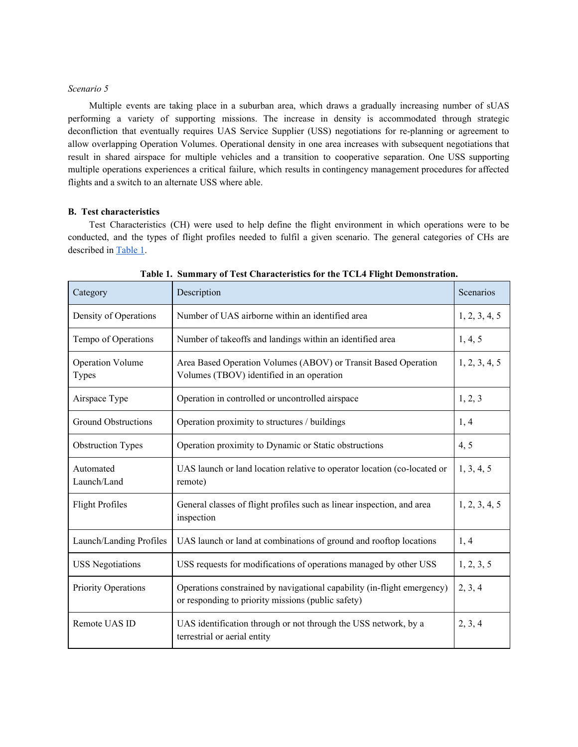# *Scenario 5*

Multiple events are taking place in a suburban area, which draws a gradually increasing number of sUAS performing a variety of supporting missions. The increase in density is accommodated through strategic deconfliction that eventually requires UAS Service Supplier (USS) negotiations for re-planning or agreement to allow overlapping Operation Volumes. Operational density in one area increases with subsequent negotiations that result in shared airspace for multiple vehicles and a transition to cooperative separation. One USS supporting multiple operations experiences a critical failure, which results in contingency management procedures for affected flights and a switch to an alternate USS where able.

# **B. Test characteristics**

Test Characteristics (CH) were used to help define the flight environment in which operations were to be conducted, and the types of flight profiles needed to fulfil a given scenario. The general categories of CHs are described in [Table](#page-3-0) 1.

| Category                         | Description                                                                                                                   | Scenarios     |
|----------------------------------|-------------------------------------------------------------------------------------------------------------------------------|---------------|
| Density of Operations            | Number of UAS airborne within an identified area                                                                              | 1, 2, 3, 4, 5 |
| Tempo of Operations              | Number of takeoffs and landings within an identified area                                                                     | 1, 4, 5       |
| <b>Operation Volume</b><br>Types | Area Based Operation Volumes (ABOV) or Transit Based Operation<br>Volumes (TBOV) identified in an operation                   | 1, 2, 3, 4, 5 |
| Airspace Type                    | Operation in controlled or uncontrolled airspace                                                                              | 1, 2, 3       |
| <b>Ground Obstructions</b>       | Operation proximity to structures / buildings                                                                                 | 1, 4          |
| <b>Obstruction Types</b>         | Operation proximity to Dynamic or Static obstructions                                                                         | 4, 5          |
| Automated<br>Launch/Land         | UAS launch or land location relative to operator location (co-located or<br>remote)                                           | 1, 3, 4, 5    |
| <b>Flight Profiles</b>           | General classes of flight profiles such as linear inspection, and area<br>inspection                                          | 1, 2, 3, 4, 5 |
| Launch/Landing Profiles          | UAS launch or land at combinations of ground and rooftop locations                                                            | 1, 4          |
| <b>USS Negotiations</b>          | USS requests for modifications of operations managed by other USS                                                             | 1, 2, 3, 5    |
| Priority Operations              | Operations constrained by navigational capability (in-flight emergency)<br>or responding to priority missions (public safety) | 2, 3, 4       |
| Remote UAS ID                    | UAS identification through or not through the USS network, by a<br>terrestrial or aerial entity                               | 2, 3, 4       |

<span id="page-3-0"></span>**Table 1. Summary of Test Characteristics for the TCL4 Flight Demonstration.**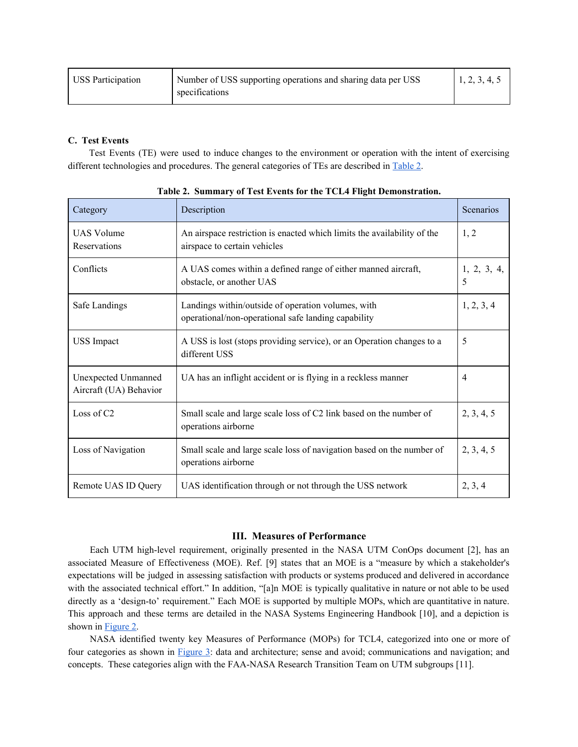| USS Participation | Number of USS supporting operations and sharing data per USS | 1, 2, 3, 4, 5 |
|-------------------|--------------------------------------------------------------|---------------|
|                   | specifications                                               |               |

# **C. Test Events**

Test Events (TE) were used to induce changes to the environment or operation with the intent of exercising different technologies and procedures. The general categories of TEs are described in [Table](#page-4-0) 2.

| Category                                      | Description                                                                                               | Scenarios        |
|-----------------------------------------------|-----------------------------------------------------------------------------------------------------------|------------------|
| <b>UAS Volume</b><br>Reservations             | An airspace restriction is enacted which limits the availability of the<br>airspace to certain vehicles   | 1, 2             |
| Conflicts                                     | A UAS comes within a defined range of either manned aircraft,<br>obstacle, or another UAS                 | 1, 2, 3, 4,<br>5 |
| Safe Landings                                 | Landings within/outside of operation volumes, with<br>operational/non-operational safe landing capability | 1, 2, 3, 4       |
| <b>USS</b> Impact                             | A USS is lost (stops providing service), or an Operation changes to a<br>different USS                    | 5                |
| Unexpected Unmanned<br>Aircraft (UA) Behavior | UA has an inflight accident or is flying in a reckless manner                                             | 4                |
| Loss of C2                                    | Small scale and large scale loss of C2 link based on the number of<br>operations airborne                 | 2, 3, 4, 5       |
| Loss of Navigation                            | Small scale and large scale loss of navigation based on the number of<br>operations airborne              | 2, 3, 4, 5       |
| Remote UAS ID Query                           | UAS identification through or not through the USS network                                                 | 2, 3, 4          |

<span id="page-4-0"></span>**Table 2. Summary of Test Events for the TCL4 Flight Demonstration.**

# **III. Measures of Performance**

Each UTM high-level requirement, originally presented in the NASA UTM ConOps document [2], has an associated Measure of Effectiveness (MOE). Ref. [9] states that an MOE is a "measure by which a stakeholder's expectations will be judged in assessing satisfaction with products or systems produced and delivered in accordance with the associated technical effort." In addition, "[a]n MOE is typically qualitative in nature or not able to be used directly as a 'design-to' requirement." Each MOE is supported by multiple MOPs, which are quantitative in nature. This approach and these terms are detailed in the NASA Systems Engineering Handbook [10], and a depiction is shown in **[Figure](#page-5-0) 2**.

NASA identified twenty key Measures of Performance (MOPs) for TCL4, categorized into one or more of four categories as shown in [Figure](#page-5-1) 3: data and architecture; sense and avoid; communications and navigation; and concepts. These categories align with the FAA-NASA Research Transition Team on UTM subgroups [11].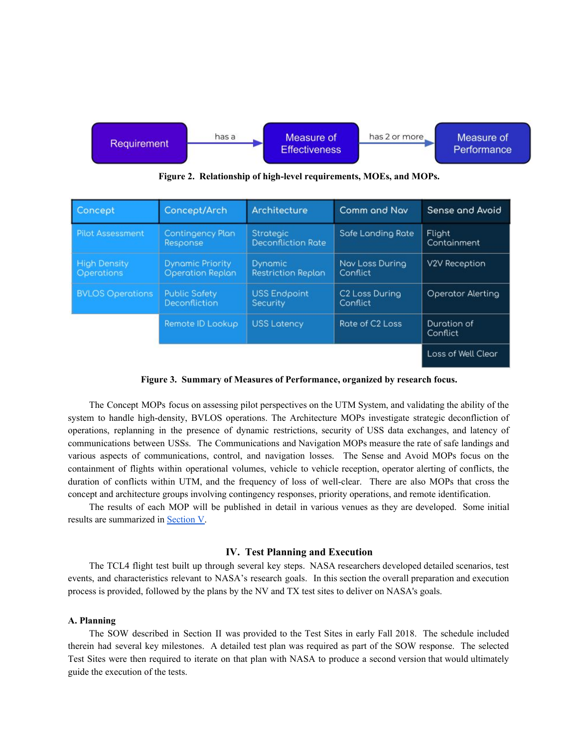

<span id="page-5-0"></span>**Figure 2. Relationship of high-level requirements, MOEs, and MOPs.**

| Concept                                  | Concept/Arch                                       | Architecture                                | Comm and Nav                           | Sense and Avoid         |
|------------------------------------------|----------------------------------------------------|---------------------------------------------|----------------------------------------|-------------------------|
| <b>Pilot Assessment</b>                  | <b>Contingency Plan</b><br>Response                | <b>Strategic</b><br>Deconfliction Rate      | Safe Landing Rate                      | Flight<br>Containment   |
| <b>High Density</b><br><b>Operations</b> | <b>Dynamic Priority</b><br><b>Operation Replan</b> | <b>Dynamic</b><br><b>Restriction Replan</b> | Nav Loss During<br>Conflict            | V2V Reception           |
| <b>BVLOS Operations</b>                  | <b>Public Safety</b><br>Deconfliction              | <b>USS Endpoint</b><br>Security             | C <sub>2</sub> Loss During<br>Conflict | Operator Alerting       |
|                                          | Remote ID Lookup                                   | <b>USS Latency</b>                          | Rote of C <sub>2</sub> Loss            | Duration of<br>Conflict |
|                                          |                                                    |                                             |                                        | Loss of Well Clear      |

<span id="page-5-1"></span>**Figure 3. Summary of Measures of Performance, organized by research focus.**

The Concept MOPs focus on assessing pilot perspectives on the UTM System, and validating the ability of the system to handle high-density, BVLOS operations. The Architecture MOPs investigate strategic deconfliction of operations, replanning in the presence of dynamic restrictions, security of USS data exchanges, and latency of communications between USSs. The Communications and Navigation MOPs measure the rate of safe landings and various aspects of communications, control, and navigation losses. The Sense and Avoid MOPs focus on the containment of flights within operational volumes, vehicle to vehicle reception, operator alerting of conflicts, the duration of conflicts within UTM, and the frequency of loss of well-clear. There are also MOPs that cross the concept and architecture groups involving contingency responses, priority operations, and remote identification.

The results of each MOP will be published in detail in various venues as they are developed. Some initial results are summarized in [Section](#page-8-0) V.

#### **IV. Test Planning and Execution**

The TCL4 flight test built up through several key steps. NASA researchers developed detailed scenarios, test events, and characteristics relevant to NASA's research goals. In this section the overall preparation and execution process is provided, followed by the plans by the NV and TX test sites to deliver on NASA's goals.

## **A. Planning**

The SOW described in Section II was provided to the Test Sites in early Fall 2018. The schedule included therein had several key milestones. A detailed test plan was required as part of the SOW response. The selected Test Sites were then required to iterate on that plan with NASA to produce a second version that would ultimately guide the execution of the tests.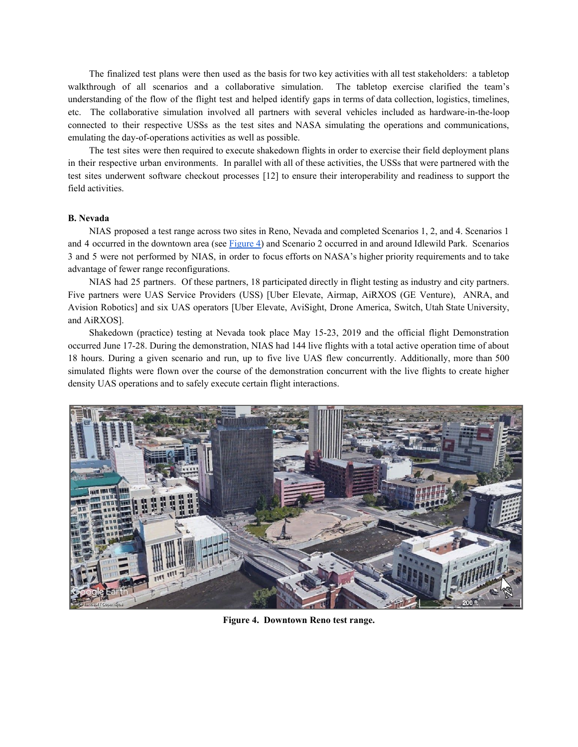The finalized test plans were then used as the basis for two key activities with all test stakeholders: a tabletop walkthrough of all scenarios and a collaborative simulation. The tabletop exercise clarified the team's understanding of the flow of the flight test and helped identify gaps in terms of data collection, logistics, timelines, etc. The collaborative simulation involved all partners with several vehicles included as hardware-in-the-loop connected to their respective USSs as the test sites and NASA simulating the operations and communications, emulating the day-of-operations activities as well as possible.

The test sites were then required to execute shakedown flights in order to exercise their field deployment plans in their respective urban environments. In parallel with all of these activities, the USSs that were partnered with the test sites underwent software checkout processes [12] to ensure their interoperability and readiness to support the field activities.

#### **B. Nevada**

NIAS proposed a test range across two sites in Reno, Nevada and completed Scenarios 1, 2, and 4. Scenarios 1 and 4 occurred in the downtown area (see [Figure](#page-6-0) 4) and Scenario 2 occurred in and around Idlewild Park. Scenarios 3 and 5 were not performed by NIAS, in order to focus efforts on NASA's higher priority requirements and to take advantage of fewer range reconfigurations.

NIAS had 25 partners. Of these partners, 18 participated directly in flight testing as industry and city partners. Five partners were UAS Service Providers (USS) [Uber Elevate, Airmap, AiRXOS (GE Venture), ANRA, and Avision Robotics] and six UAS operators [Uber Elevate, AviSight, Drone America, Switch, Utah State University, and AiRXOS].

Shakedown (practice) testing at Nevada took place May 15-23, 2019 and the official flight Demonstration occurred June 17-28. During the demonstration, NIAS had 144 live flights with a total active operation time of about 18 hours. During a given scenario and run, up to five live UAS flew concurrently. Additionally, more than 500 simulated flights were flown over the course of the demonstration concurrent with the live flights to create higher density UAS operations and to safely execute certain flight interactions.

<span id="page-6-0"></span>

**Figure 4. Downtown Reno test range.**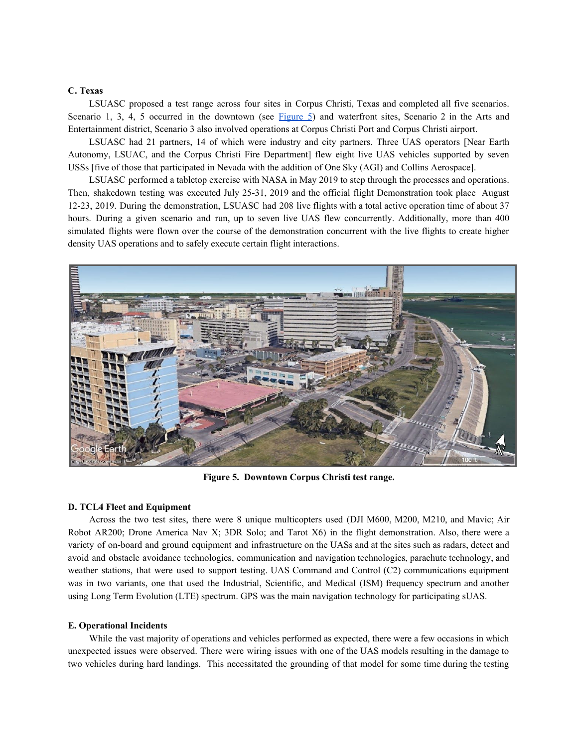# **C. Texas**

LSUASC proposed a test range across four sites in Corpus Christi, Texas and completed all five scenarios. Scenario 1, 3, 4, 5 occurred in the downtown (see [Figure](#page-7-0) 5) and waterfront sites, Scenario 2 in the Arts and Entertainment district, Scenario 3 also involved operations at Corpus Christi Port and Corpus Christi airport.

LSUASC had 21 partners, 14 of which were industry and city partners. Three UAS operators [Near Earth Autonomy, LSUAC, and the Corpus Christi Fire Department] flew eight live UAS vehicles supported by seven USSs [five of those that participated in Nevada with the addition of One Sky (AGI) and Collins Aerospace].

LSUASC performed a tabletop exercise with NASA in May 2019 to step through the processes and operations. Then, shakedown testing was executed July 25-31, 2019 and the official flight Demonstration took place August 12-23, 2019. During the demonstration, LSUASC had 208 live flights with a total active operation time of about 37 hours. During a given scenario and run, up to seven live UAS flew concurrently. Additionally, more than 400 simulated flights were flown over the course of the demonstration concurrent with the live flights to create higher density UAS operations and to safely execute certain flight interactions.



**Figure 5. Downtown Corpus Christi test range.**

## <span id="page-7-0"></span>**D. TCL4 Fleet and Equipment**

Across the two test sites, there were 8 unique multicopters used (DJI M600, M200, M210, and Mavic; Air Robot AR200; Drone America Nav X; 3DR Solo; and Tarot X6) in the flight demonstration. Also, there were a variety of on-board and ground equipment and infrastructure on the UASs and at the sites such as radars, detect and avoid and obstacle avoidance technologies, communication and navigation technologies, parachute technology, and weather stations, that were used to support testing. UAS Command and Control (C2) communications equipment was in two variants, one that used the Industrial, Scientific, and Medical (ISM) frequency spectrum and another using Long Term Evolution (LTE) spectrum. GPS was the main navigation technology for participating sUAS.

#### **E. Operational Incidents**

While the vast majority of operations and vehicles performed as expected, there were a few occasions in which unexpected issues were observed. There were wiring issues with one of the UAS models resulting in the damage to two vehicles during hard landings. This necessitated the grounding of that model for some time during the testing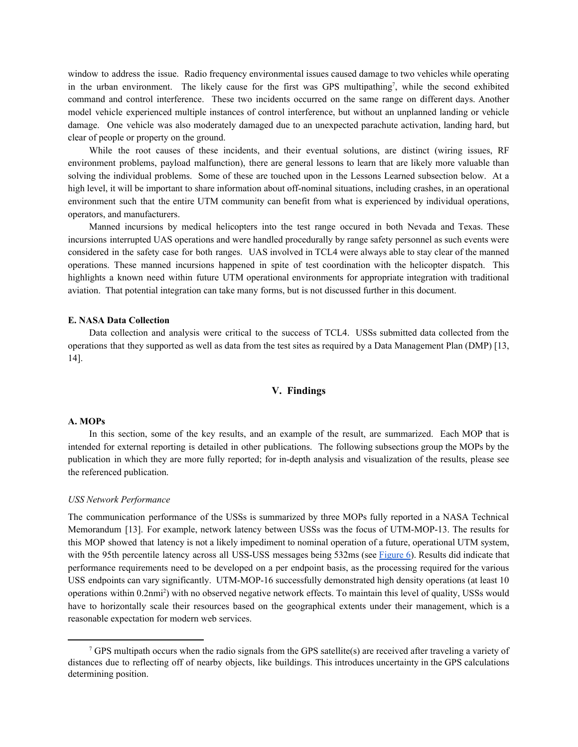window to address the issue. Radio frequency environmental issues caused damage to two vehicles while operating in the urban environment. The likely cause for the first was GPS multipathing<sup>7</sup>, while the second exhibited command and control interference. These two incidents occurred on the same range on different days. Another model vehicle experienced multiple instances of control interference, but without an unplanned landing or vehicle damage. One vehicle was also moderately damaged due to an unexpected parachute activation, landing hard, but clear of people or property on the ground.

While the root causes of these incidents, and their eventual solutions, are distinct (wiring issues, RF environment problems, payload malfunction), there are general lessons to learn that are likely more valuable than solving the individual problems. Some of these are touched upon in the Lessons Learned subsection below. At a high level, it will be important to share information about off-nominal situations, including crashes, in an operational environment such that the entire UTM community can benefit from what is experienced by individual operations, operators, and manufacturers.

Manned incursions by medical helicopters into the test range occured in both Nevada and Texas. These incursions interrupted UAS operations and were handled procedurally by range safety personnel as such events were considered in the safety case for both ranges. UAS involved in TCL4 were always able to stay clear of the manned operations. These manned incursions happened in spite of test coordination with the helicopter dispatch. This highlights a known need within future UTM operational environments for appropriate integration with traditional aviation. That potential integration can take many forms, but is not discussed further in this document.

#### **E. NASA Data Collection**

<span id="page-8-0"></span>Data collection and analysis were critical to the success of TCL4. USSs submitted data collected from the operations that they supported as well as data from the test sites as required by a Data Management Plan (DMP) [13, 14].

#### **V. Findings**

# **A. MOPs**

In this section, some of the key results, and an example of the result, are summarized. Each MOP that is intended for external reporting is detailed in other publications. The following subsections group the MOPs by the publication in which they are more fully reported; for in-depth analysis and visualization of the results, please see the referenced publication.

#### *USS Network Performance*

The communication performance of the USSs is summarized by three MOPs fully reported in a NASA Technical Memorandum [13]. For example, network latency between USSs was the focus of UTM-MOP-13. The results for this MOP showed that latency is not a likely impediment to nominal operation of a future, operational UTM system, with the 95th percentile latency across all USS-USS messages being 532ms (see [Figure](#page-9-0) 6). Results did indicate that performance requirements need to be developed on a per endpoint basis, as the processing required for the various USS endpoints can vary significantly. UTM-MOP-16 successfully demonstrated high density operations (at least 10 operations within 0.2nmi<sup>2</sup>) with no observed negative network effects. To maintain this level of quality, USSs would have to horizontally scale their resources based on the geographical extents under their management, which is a reasonable expectation for modern web services.

<sup>7</sup> GPS multipath occurs when the radio signals from the GPS satellite(s) are received after traveling a variety of distances due to reflecting off of nearby objects, like buildings. This introduces uncertainty in the GPS calculations determining position.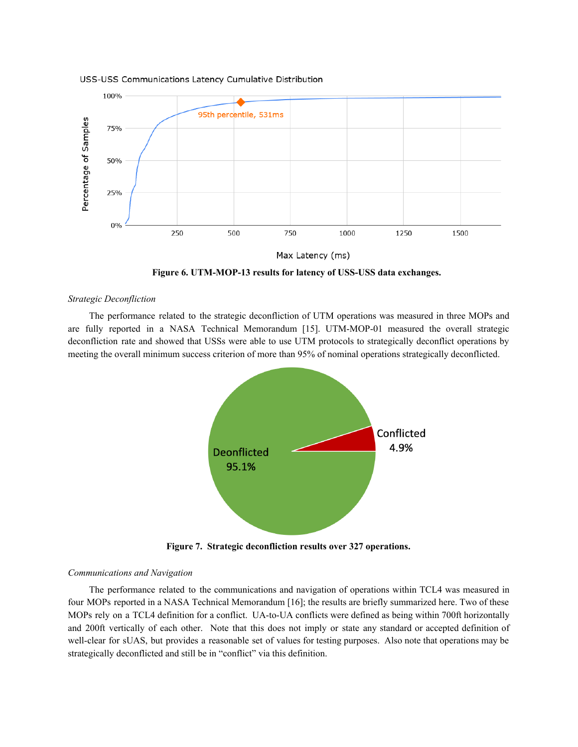

#### USS-USS Communications Latency Cumulative Distribution

Max Latency (ms)

<span id="page-9-0"></span>**Figure 6. UTM-MOP-13 results for latency of USS-USS data exchanges.**

#### *Strategic Deconfliction*

The performance related to the strategic deconfliction of UTM operations was measured in three MOPs and are fully reported in a NASA Technical Memorandum [15]. UTM-MOP-01 measured the overall strategic deconfliction rate and showed that USSs were able to use UTM protocols to strategically deconflict operations by meeting the overall minimum success criterion of more than 95% of nominal operations strategically deconflicted.



**Figure 7. Strategic deconfliction results over 327 operations.**

#### *Communications and Navigation*

The performance related to the communications and navigation of operations within TCL4 was measured in four MOPs reported in a NASA Technical Memorandum [16]; the results are briefly summarized here. Two of these MOPs rely on a TCL4 definition for a conflict. UA-to-UA conflicts were defined as being within 700ft horizontally and 200ft vertically of each other. Note that this does not imply or state any standard or accepted definition of well-clear for sUAS, but provides a reasonable set of values for testing purposes. Also note that operations may be strategically deconflicted and still be in "conflict" via this definition.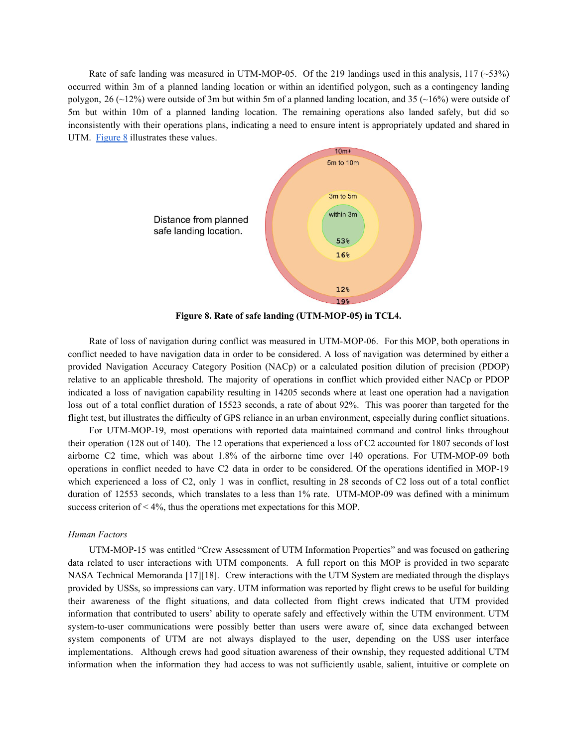Rate of safe landing was measured in UTM-MOP-05. Of the 219 landings used in this analysis, 117 ( $\sim$ 53%) occurred within 3m of a planned landing location or within an identified polygon, such as a contingency landing polygon, 26 ( $\sim$ 12%) were outside of 3m but within 5m of a planned landing location, and 35 ( $\sim$ 16%) were outside of 5m but within 10m of a planned landing location. The remaining operations also landed safely, but did so inconsistently with their operations plans, indicating a need to ensure intent is appropriately updated and shared in UTM. [Figure](#page-10-0) 8 illustrates these values.



<span id="page-10-0"></span>**Figure 8. Rate of safe landing (UTM-MOP-05) in TCL4.**

Rate of loss of navigation during conflict was measured in UTM-MOP-06. For this MOP, both operations in conflict needed to have navigation data in order to be considered. A loss of navigation was determined by either a provided Navigation Accuracy Category Position (NACp) or a calculated position dilution of precision (PDOP) relative to an applicable threshold. The majority of operations in conflict which provided either NACp or PDOP indicated a loss of navigation capability resulting in 14205 seconds where at least one operation had a navigation loss out of a total conflict duration of 15523 seconds, a rate of about 92%. This was poorer than targeted for the flight test, but illustrates the difficulty of GPS reliance in an urban environment, especially during conflict situations.

For UTM-MOP-19, most operations with reported data maintained command and control links throughout their operation (128 out of 140). The 12 operations that experienced a loss of C2 accounted for 1807 seconds of lost airborne C2 time, which was about 1.8% of the airborne time over 140 operations. For UTM-MOP-09 both operations in conflict needed to have C2 data in order to be considered. Of the operations identified in MOP-19 which experienced a loss of C2, only 1 was in conflict, resulting in 28 seconds of C2 loss out of a total conflict duration of 12553 seconds, which translates to a less than 1% rate. UTM-MOP-09 was defined with a minimum success criterion of  $\leq 4\%$ , thus the operations met expectations for this MOP.

# *Human Factors*

UTM-MOP-15 was entitled "Crew Assessment of UTM Information Properties" and was focused on gathering data related to user interactions with UTM components. A full report on this MOP is provided in two separate NASA Technical Memoranda [17][18]. Crew interactions with the UTM System are mediated through the displays provided by USSs, so impressions can vary. UTM information was reported by flight crews to be useful for building their awareness of the flight situations, and data collected from flight crews indicated that UTM provided information that contributed to users' ability to operate safely and effectively within the UTM environment. UTM system-to-user communications were possibly better than users were aware of, since data exchanged between system components of UTM are not always displayed to the user, depending on the USS user interface implementations. Although crews had good situation awareness of their ownship, they requested additional UTM information when the information they had access to was not sufficiently usable, salient, intuitive or complete on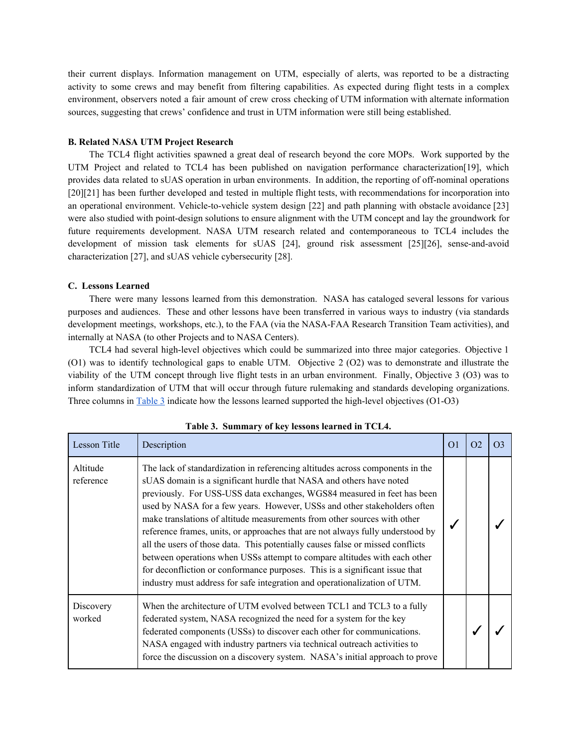their current displays. Information management on UTM, especially of alerts, was reported to be a distracting activity to some crews and may benefit from filtering capabilities. As expected during flight tests in a complex environment, observers noted a fair amount of crew cross checking of UTM information with alternate information sources, suggesting that crews' confidence and trust in UTM information were still being established.

#### **B. Related NASA UTM Project Research**

The TCL4 flight activities spawned a great deal of research beyond the core MOPs. Work supported by the UTM Project and related to TCL4 has been published on navigation performance characterization[19], which provides data related to sUAS operation in urban environments. In addition, the reporting of off-nominal operations [20][21] has been further developed and tested in multiple flight tests, with recommendations for incorporation into an operational environment. Vehicle-to-vehicle system design [22] and path planning with obstacle avoidance [23] were also studied with point-design solutions to ensure alignment with the UTM concept and lay the groundwork for future requirements development. NASA UTM research related and contemporaneous to TCL4 includes the development of mission task elements for sUAS [24], ground risk assessment [25][26], sense-and-avoid characterization [27], and sUAS vehicle cybersecurity [28].

#### **C. Lessons Learned**

There were many lessons learned from this demonstration. NASA has cataloged several lessons for various purposes and audiences. These and other lessons have been transferred in various ways to industry (via standards development meetings, workshops, etc.), to the FAA (via the NASA-FAA Research Transition Team activities), and internally at NASA (to other Projects and to NASA Centers).

TCL4 had several high-level objectives which could be summarized into three major categories. Objective 1 (O1) was to identify technological gaps to enable UTM. Objective 2 (O2) was to demonstrate and illustrate the viability of the UTM concept through live flight tests in an urban environment. Finally, Objective 3 (O3) was to inform standardization of UTM that will occur through future rulemaking and standards developing organizations. Three columns in [Table](#page-11-0) 3 indicate how the lessons learned supported the high-level objectives (O1-O3)

| <b>Lesson Title</b>   | Description                                                                                                                                                                                                                                                                                                                                                                                                                                                                                                                                                                                                                                                                                                                                                                                          | O <sub>1</sub> | O <sub>2</sub> | O <sub>3</sub> |
|-----------------------|------------------------------------------------------------------------------------------------------------------------------------------------------------------------------------------------------------------------------------------------------------------------------------------------------------------------------------------------------------------------------------------------------------------------------------------------------------------------------------------------------------------------------------------------------------------------------------------------------------------------------------------------------------------------------------------------------------------------------------------------------------------------------------------------------|----------------|----------------|----------------|
| Altitude<br>reference | The lack of standardization in referencing altitudes across components in the<br>sUAS domain is a significant hurdle that NASA and others have noted<br>previously. For USS-USS data exchanges, WGS84 measured in feet has been<br>used by NASA for a few years. However, USSs and other stakeholders often<br>make translations of altitude measurements from other sources with other<br>reference frames, units, or approaches that are not always fully understood by<br>all the users of those data. This potentially causes false or missed conflicts<br>between operations when USSs attempt to compare altitudes with each other<br>for deconfliction or conformance purposes. This is a significant issue that<br>industry must address for safe integration and operationalization of UTM. |                |                |                |
| Discovery<br>worked   | When the architecture of UTM evolved between TCL1 and TCL3 to a fully<br>federated system, NASA recognized the need for a system for the key<br>federated components (USSs) to discover each other for communications.<br>NASA engaged with industry partners via technical outreach activities to<br>force the discussion on a discovery system. NASA's initial approach to prove                                                                                                                                                                                                                                                                                                                                                                                                                   |                |                |                |

#### <span id="page-11-0"></span>**Table 3. Summary of key lessons learned in TCL4.**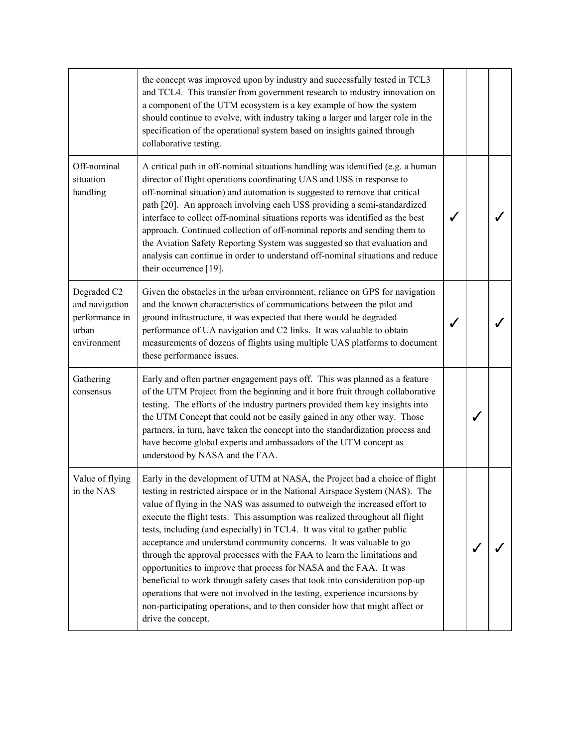|                                                                         | the concept was improved upon by industry and successfully tested in TCL3<br>and TCL4. This transfer from government research to industry innovation on<br>a component of the UTM ecosystem is a key example of how the system<br>should continue to evolve, with industry taking a larger and larger role in the<br>specification of the operational system based on insights gained through<br>collaborative testing.                                                                                                                                                                                                                                                                                                                                                                                                                                                                          |   |  |
|-------------------------------------------------------------------------|--------------------------------------------------------------------------------------------------------------------------------------------------------------------------------------------------------------------------------------------------------------------------------------------------------------------------------------------------------------------------------------------------------------------------------------------------------------------------------------------------------------------------------------------------------------------------------------------------------------------------------------------------------------------------------------------------------------------------------------------------------------------------------------------------------------------------------------------------------------------------------------------------|---|--|
| Off-nominal<br>situation<br>handling                                    | A critical path in off-nominal situations handling was identified (e.g. a human<br>director of flight operations coordinating UAS and USS in response to<br>off-nominal situation) and automation is suggested to remove that critical<br>path [20]. An approach involving each USS providing a semi-standardized<br>interface to collect off-nominal situations reports was identified as the best<br>approach. Continued collection of off-nominal reports and sending them to<br>the Aviation Safety Reporting System was suggested so that evaluation and<br>analysis can continue in order to understand off-nominal situations and reduce<br>their occurrence [19].                                                                                                                                                                                                                        |   |  |
| Degraded C2<br>and navigation<br>performance in<br>urban<br>environment | Given the obstacles in the urban environment, reliance on GPS for navigation<br>and the known characteristics of communications between the pilot and<br>ground infrastructure, it was expected that there would be degraded<br>performance of UA navigation and C2 links. It was valuable to obtain<br>measurements of dozens of flights using multiple UAS platforms to document<br>these performance issues.                                                                                                                                                                                                                                                                                                                                                                                                                                                                                  |   |  |
| Gathering<br>consensus                                                  | Early and often partner engagement pays off. This was planned as a feature<br>of the UTM Project from the beginning and it bore fruit through collaborative<br>testing. The efforts of the industry partners provided them key insights into<br>the UTM Concept that could not be easily gained in any other way. Those<br>partners, in turn, have taken the concept into the standardization process and<br>have become global experts and ambassadors of the UTM concept as<br>understood by NASA and the FAA.                                                                                                                                                                                                                                                                                                                                                                                 | ✓ |  |
| Value of flying<br>in the NAS                                           | Early in the development of UTM at NASA, the Project had a choice of flight<br>testing in restricted airspace or in the National Airspace System (NAS). The<br>value of flying in the NAS was assumed to outweigh the increased effort to<br>execute the flight tests. This assumption was realized throughout all flight<br>tests, including (and especially) in TCL4. It was vital to gather public<br>acceptance and understand community concerns. It was valuable to go<br>through the approval processes with the FAA to learn the limitations and<br>opportunities to improve that process for NASA and the FAA. It was<br>beneficial to work through safety cases that took into consideration pop-up<br>operations that were not involved in the testing, experience incursions by<br>non-participating operations, and to then consider how that might affect or<br>drive the concept. |   |  |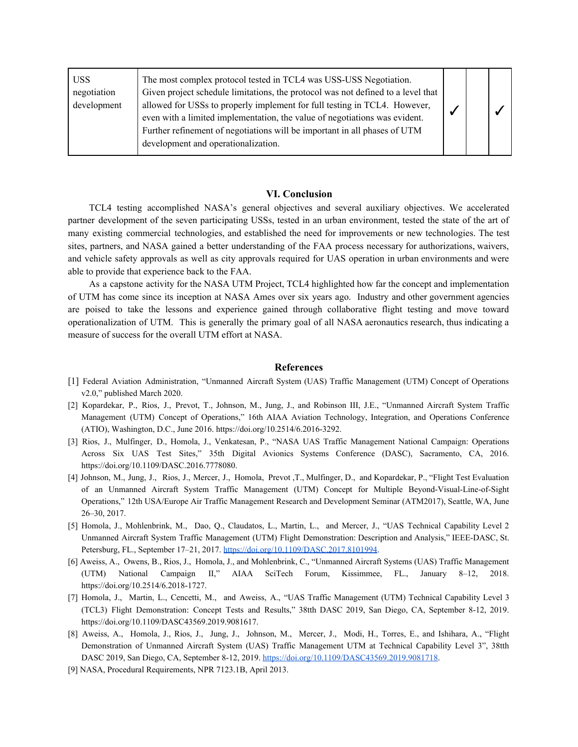| <b>USS</b><br>negotiation<br>development | The most complex protocol tested in TCL4 was USS-USS Negotiation.<br>Given project schedule limitations, the protocol was not defined to a level that<br>allowed for USSs to properly implement for full testing in TCL4. However,<br>even with a limited implementation, the value of negotiations was evident.<br>Further refinement of negotiations will be important in all phases of UTM<br>development and operationalization. |  |  |  |  |
|------------------------------------------|--------------------------------------------------------------------------------------------------------------------------------------------------------------------------------------------------------------------------------------------------------------------------------------------------------------------------------------------------------------------------------------------------------------------------------------|--|--|--|--|
|------------------------------------------|--------------------------------------------------------------------------------------------------------------------------------------------------------------------------------------------------------------------------------------------------------------------------------------------------------------------------------------------------------------------------------------------------------------------------------------|--|--|--|--|

# **VI. Conclusion**

TCL4 testing accomplished NASA's general objectives and several auxiliary objectives. We accelerated partner development of the seven participating USSs, tested in an urban environment, tested the state of the art of many existing commercial technologies, and established the need for improvements or new technologies. The test sites, partners, and NASA gained a better understanding of the FAA process necessary for authorizations, waivers, and vehicle safety approvals as well as city approvals required for UAS operation in urban environments and were able to provide that experience back to the FAA.

As a capstone activity for the NASA UTM Project, TCL4 highlighted how far the concept and implementation of UTM has come since its inception at NASA Ames over six years ago. Industry and other government agencies are poised to take the lessons and experience gained through collaborative flight testing and move toward operationalization of UTM. This is generally the primary goal of all NASA aeronautics research, thus indicating a measure of success for the overall UTM effort at NASA.

## **References**

- [1] Federal Aviation Administration, "Unmanned Aircraft System (UAS) Traffic Management (UTM) Concept of Operations v2.0," published March 2020.
- [2] Kopardekar, P., Rios, J., Prevot, T., Johnson, M., Jung, J., and Robinson III, J.E., "Unmanned Aircraft System Traffic Management (UTM) Concept of Operations," 16th AIAA Aviation Technology, Integration, and Operations Conference (ATIO), Washington, D.C., June 2016. https://doi.org/10.2514/6.2016-3292.
- [3] Rios, J., Mulfinger, D., Homola, J., Venkatesan, P., "NASA UAS Traffic Management National Campaign: Operations Across Six UAS Test Sites," 35th Digital Avionics Systems Conference (DASC), Sacramento, CA, 2016. https://doi.org/10.1109/DASC.2016.7778080.
- [4] Johnson, M., Jung, J., Rios, J., Mercer, J., Homola, Prevot ,T., Mulfinger, D., and Kopardekar, P., "Flight Test Evaluation of an Unmanned Aircraft System Traffic Management (UTM) Concept for Multiple Beyond-Visual-Line-of-Sight Operations," 12th USA/Europe Air Traffic Management Research and Development Seminar (ATM2017), Seattle, WA, June 26–30, 2017.
- [5] Homola, J., Mohlenbrink, M., Dao, Q., Claudatos, L., Martin, L., and Mercer, J., "UAS Technical Capability Level 2 Unmanned Aircraft System Traffic Management (UTM) Flight Demonstration: Description and Analysis," IEEE-DASC, St. Petersburg, FL., September 17–21, 2017. [https://doi.org/10.1109/DASC.2017.8101994.](https://doi.org/10.1109/DASC.2017.8101994)
- [6] Aweiss, A., Owens, B., Rios, J., Homola, J., and Mohlenbrink, C., "Unmanned Aircraft Systems (UAS) Traffic Management (UTM) National Campaign II," AIAA SciTech Forum, Kissimmee, FL., January 8–12, 2018. https://doi.org/10.2514/6.2018-1727.
- [7] Homola, J., Martin, L., Cencetti, M., and Aweiss, A., "UAS Traffic Management (UTM) Technical Capability Level 3 (TCL3) Flight Demonstration: Concept Tests and Results," 38tth DASC 2019, San Diego, CA, September 8-12, 2019. https://doi.org/10.1109/DASC43569.2019.9081617.
- [8] Aweiss, A., Homola, J., Rios, J., Jung, J., Johnson, M., Mercer, J., Modi, H., Torres, E., and Ishihara, A., "Flight Demonstration of Unmanned Aircraft System (UAS) Traffic Management UTM at Technical Capability Level 3", 38tth DASC 2019, San Diego, CA, September 8-12, 2019. [https://doi.org/10.1109/DASC43569.2019.9081718.](https://doi.org/10.1109/DASC43569.2019.9081718)
- [9] NASA, Procedural Requirements, NPR 7123.1B, April 2013.